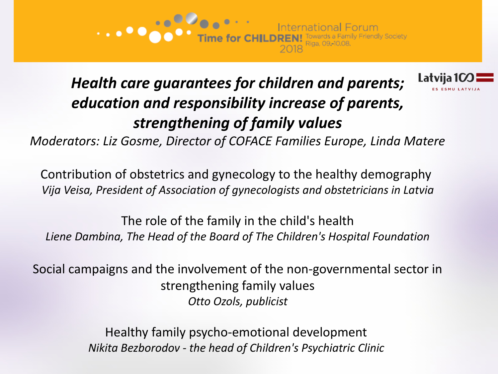



# *Health care guarantees for children and parents; education and responsibility increase of parents, strengthening of family values*

*Moderators: Liz Gosme, Director of COFACE Families Europe, Linda Matere*

Contribution of obstetrics and gynecology to the healthy demography *Vija Veisa, President of Association of gynecologists and obstetricians in Latvia*

The role of the family in the child's health *Liene Dambina, The Head of the Board of The Children's Hospital Foundation*

Social campaigns and the involvement of the non-governmental sector in strengthening family values *Otto Ozols, publicist*

> Healthy family psycho-emotional development *Nikita Bezborodov - the head of Children's Psychiatric Clinic*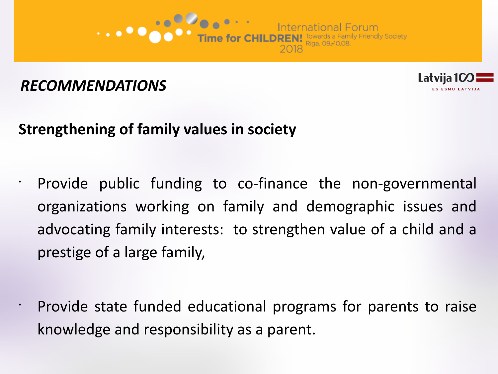



# **Strengthening of family values in society**

- Provide public funding to co-finance the non-governmental organizations working on family and demographic issues and advocating family interests: to strengthen value of a child and a prestige of a large family,
- Provide state funded educational programs for parents to raise knowledge and responsibility as a parent.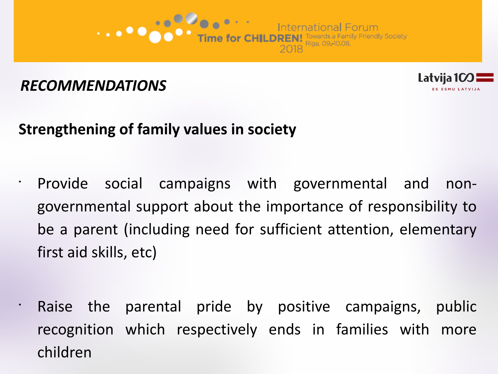



## **Strengthening of family values in society**

- Provide social campaigns with governmental and nongovernmental support about the importance of responsibility to be a parent (including need for sufficient attention, elementary first aid skills, etc)
	- Raise the parental pride by positive campaigns, public recognition which respectively ends in families with more children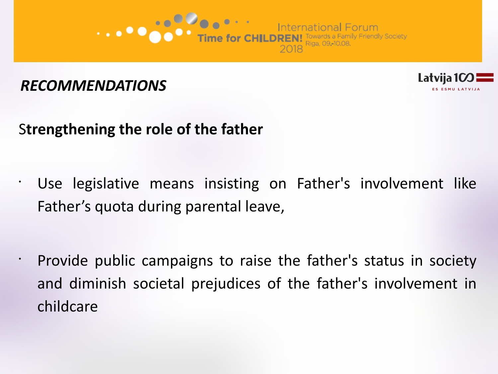



# S**trengthening the role of the father**

• Use legislative means insisting on Father's involvement like Father's quota during parental leave,

• Provide public campaigns to raise the father's status in society and diminish societal prejudices of the father's involvement in childcare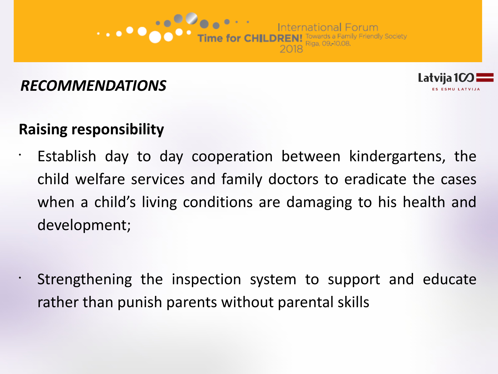



### **Raising responsibility**

- Establish day to day cooperation between kindergartens, the child welfare services and family doctors to eradicate the cases when a child's living conditions are damaging to his health and development;
- Strengthening the inspection system to support and educate rather than punish parents without parental skills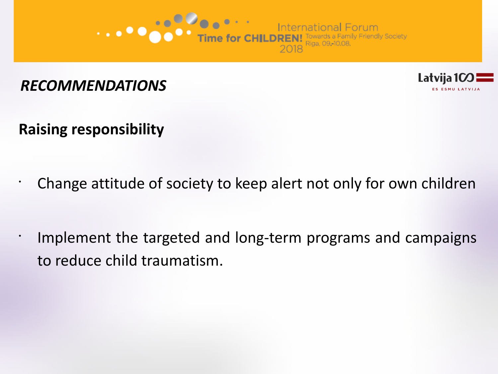



**Raising responsibility**

•

• Change attitude of society to keep alert not only for own children

Implement the targeted and long-term programs and campaigns to reduce child traumatism.